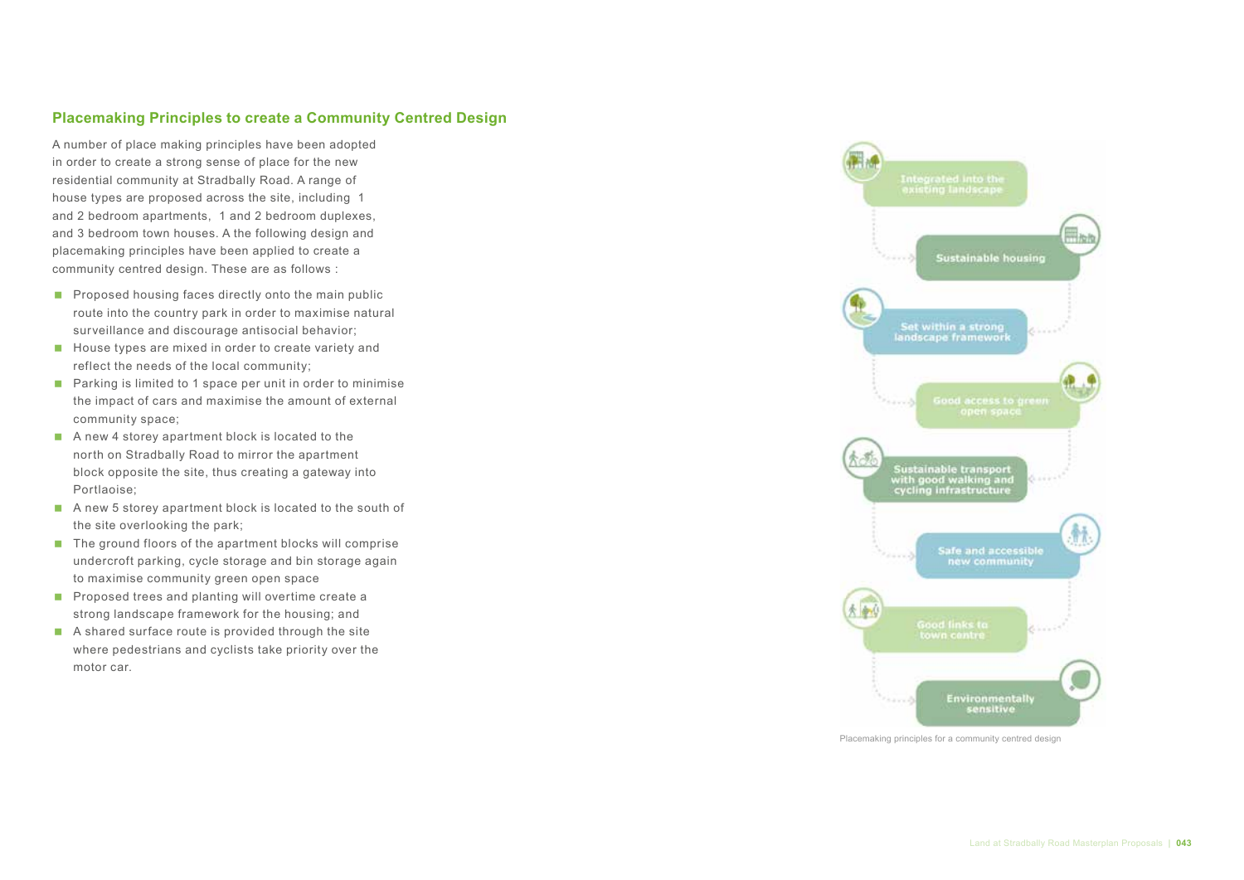## **Placemaking Principles to create a Community Centred Design**

A number of place making principles have been adopted in order to create a strong sense of place for the new residential community at Stradbally Road. A range of house types are proposed across the site, including 1 and 2 bedroom apartments, 1 and 2 bedroom duplexes, and 3 bedroom town houses. A the following design and placemaking principles have been applied to create a community centred design. These are as follows :

- $\blacksquare$  Proposed housing faces directly onto the main public route into the country park in order to maximise natural surveillance and discourage antisocial behavior;
- $\blacksquare$  House types are mixed in order to create variety and reflect the needs of the local community;
- Parking is limited to 1 space per unit in order to minimise the impact of cars and maximise the amount of external community space;
- A new 4 storey apartment block is located to the north on Stradbally Road to mirror the apartment block opposite the site, thus creating a gateway into Portlaoise;
- A new 5 storey apartment block is located to the south of the site overlooking the park;
- $\blacksquare$  The ground floors of the apartment blocks will comprise undercroft parking, cycle storage and bin storage again to maximise community green open space
- **Proposed trees and planting will overtime create a** strong landscape framework for the housing; and
- A shared surface route is provided through the site where pedestrians and cyclists take priority over the motor car.



Placemaking principles for a community centred design